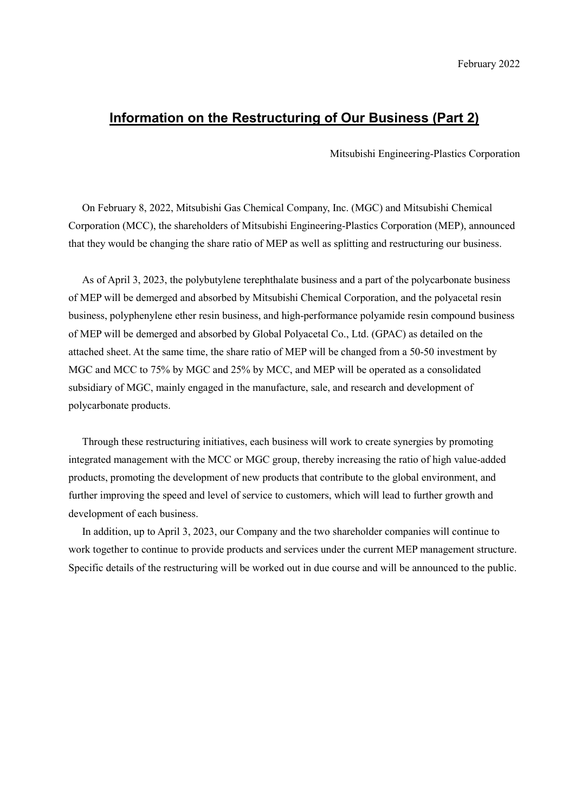## **Information on the Restructuring of Our Business (Part 2)**

Mitsubishi Engineering-Plastics Corporation

On February 8, 2022, Mitsubishi Gas Chemical Company, Inc. (MGC) and Mitsubishi Chemical Corporation (MCC), the shareholders of Mitsubishi Engineering-Plastics Corporation (MEP), announced that they would be changing the share ratio of MEP as well as splitting and restructuring our business.

As of April 3, 2023, the polybutylene terephthalate business and a part of the polycarbonate business of MEP will be demerged and absorbed by Mitsubishi Chemical Corporation, and the polyacetal resin business, polyphenylene ether resin business, and high-performance polyamide resin compound business of MEP will be demerged and absorbed by Global Polyacetal Co., Ltd. (GPAC) as detailed on the attached sheet. At the same time, the share ratio of MEP will be changed from a 50-50 investment by MGC and MCC to 75% by MGC and 25% by MCC, and MEP will be operated as a consolidated subsidiary of MGC, mainly engaged in the manufacture, sale, and research and development of polycarbonate products.

Through these restructuring initiatives, each business will work to create synergies by promoting integrated management with the MCC or MGC group, thereby increasing the ratio of high value-added products, promoting the development of new products that contribute to the global environment, and further improving the speed and level of service to customers, which will lead to further growth and development of each business.

In addition, up to April 3, 2023, our Company and the two shareholder companies will continue to work together to continue to provide products and services under the current MEP management structure. Specific details of the restructuring will be worked out in due course and will be announced to the public.